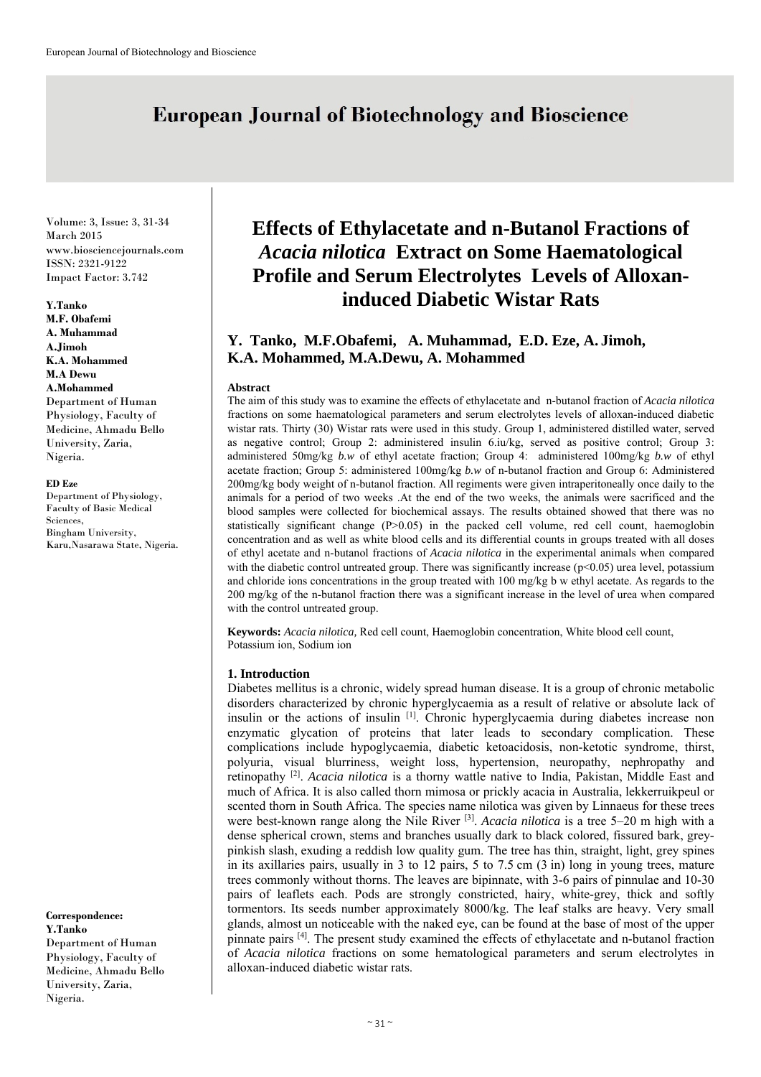# **European Journal of Biotechnology and Bioscience**

Volume: 3, Issue: 3, 31-34 March 2015 www.biosciencejournals.com ISSN: 2321-9122 Impact Factor: 3.742

#### **Y.Tanko**

**M.F. Obafemi A. Muhammad A.Jimoh K.A. Mohammed M.A Dewu A.Mohammed**  Department of Human Physiology, Faculty of Medicine, Ahmadu Bello University, Zaria, Nigeria.

#### **ED Eze**

Department of Physiology, Faculty of Basic Medical Sciences, Bingham University, Karu,Nasarawa State, Nigeria.

**Correspondence: Y.Tanko**  Department of Human Physiology, Faculty of Medicine, Ahmadu Bello University, Zaria, Nigeria.

# **Effects of Ethylacetate and n-Butanol Fractions of**  *Acacia nilotica* **Extract on Some Haematological Profile and Serum Electrolytes Levels of Alloxaninduced Diabetic Wistar Rats**

# **Y. Tanko, M.F.Obafemi, A. Muhammad, E.D. Eze, A. Jimoh, K.A. Mohammed, M.A.Dewu, A. Mohammed**

#### **Abstract**

The aim of this study was to examine the effects of ethylacetate and n-butanol fraction of *Acacia nilotica*  fractions on some haematological parameters and serum electrolytes levels of alloxan-induced diabetic wistar rats. Thirty (30) Wistar rats were used in this study. Group 1, administered distilled water, served as negative control; Group 2: administered insulin 6.iu/kg, served as positive control; Group 3: administered 50mg/kg *b.w* of ethyl acetate fraction; Group 4: administered 100mg/kg *b.w* of ethyl acetate fraction; Group 5: administered 100mg/kg *b.w* of n-butanol fraction and Group 6: Administered 200mg/kg body weight of n-butanol fraction. All regiments were given intraperitoneally once daily to the animals for a period of two weeks .At the end of the two weeks, the animals were sacrificed and the blood samples were collected for biochemical assays. The results obtained showed that there was no statistically significant change (P>0.05) in the packed cell volume, red cell count, haemoglobin concentration and as well as white blood cells and its differential counts in groups treated with all doses of ethyl acetate and n-butanol fractions of *Acacia nilotica* in the experimental animals when compared with the diabetic control untreated group. There was significantly increase (p<0.05) urea level, potassium and chloride ions concentrations in the group treated with 100 mg/kg b w ethyl acetate. As regards to the 200 mg/kg of the n-butanol fraction there was a significant increase in the level of urea when compared with the control untreated group.

**Keywords:** *Acacia nilotica,* Red cell count, Haemoglobin concentration, White blood cell count, Potassium ion, Sodium ion

#### **1. Introduction**

Diabetes mellitus is a chronic, widely spread human disease. It is a group of chronic metabolic disorders characterized by chronic hyperglycaemia as a result of relative or absolute lack of insulin or the actions of insulin [1]. Chronic hyperglycaemia during diabetes increase non enzymatic glycation of proteins that later leads to secondary complication. These complications include hypoglycaemia, diabetic ketoacidosis, non-ketotic syndrome, thirst, polyuria, visual blurriness, weight loss, hypertension, neuropathy, nephropathy and retinopathy [2]. *Acacia nilotica* is a thorny wattle native to India, Pakistan, Middle East and much of Africa. It is also called thorn mimosa or prickly acacia in Australia, lekkerruikpeul or scented thorn in South Africa. The species name nilotica was given by Linnaeus for these trees were best-known range along the Nile River <sup>[3]</sup>. *Acacia nilotica* is a tree 5–20 m high with a dense spherical crown, stems and branches usually dark to black colored, fissured bark, greypinkish slash, exuding a reddish low quality gum. The tree has thin, straight, light, grey spines in its axillaries pairs, usually in 3 to 12 pairs, 5 to 7.5 cm (3 in) long in young trees, mature trees commonly without thorns. The leaves are bipinnate, with 3-6 pairs of pinnulae and 10-30 pairs of leaflets each. Pods are strongly constricted, hairy, white-grey, thick and softly tormentors. Its seeds number approximately 8000/kg. The leaf stalks are heavy. Very small glands, almost un noticeable with the naked eye, can be found at the base of most of the upper pinnate pairs [4]. The present study examined the effects of ethylacetate and n-butanol fraction of *Acacia nilotica* fractions on some hematological parameters and serum electrolytes in alloxan-induced diabetic wistar rats.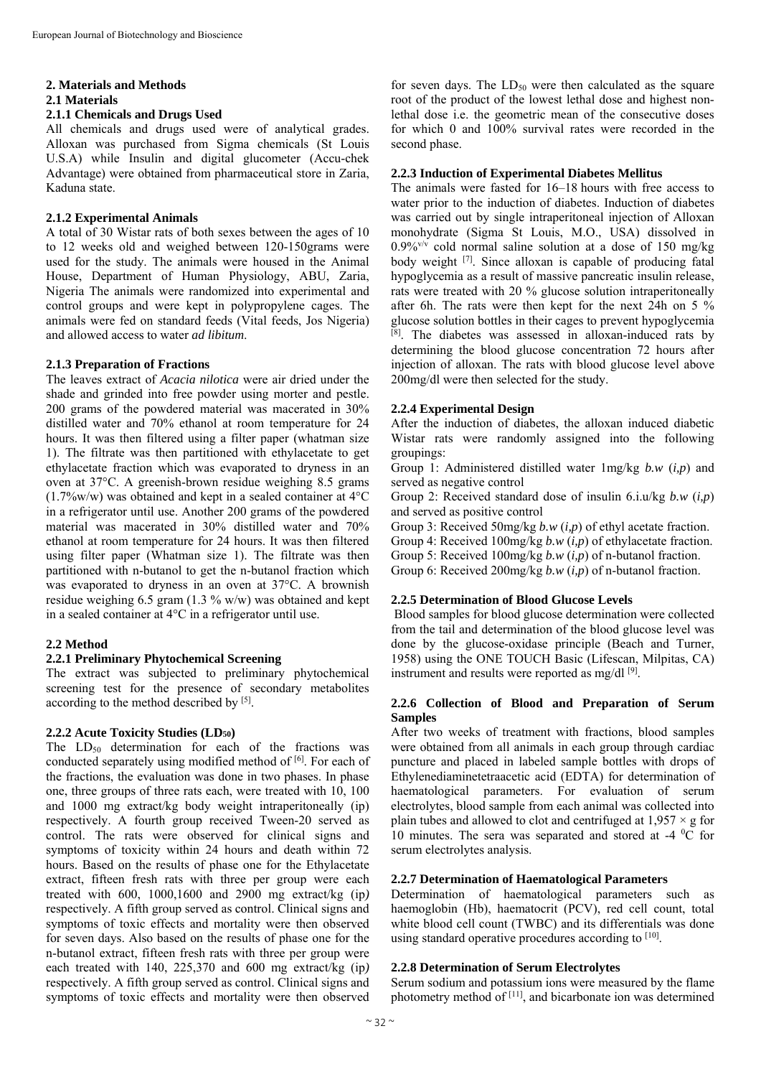## **2. Materials and Methods**

## **2.1 Materials**

## **2.1.1 Chemicals and Drugs Used**

All chemicals and drugs used were of analytical grades. Alloxan was purchased from Sigma chemicals (St Louis U.S.A) while Insulin and digital glucometer (Accu-chek Advantage) were obtained from pharmaceutical store in Zaria, Kaduna state.

## **2.1.2 Experimental Animals**

A total of 30 Wistar rats of both sexes between the ages of 10 to 12 weeks old and weighed between 120-150grams were used for the study. The animals were housed in the Animal House, Department of Human Physiology, ABU, Zaria, Nigeria The animals were randomized into experimental and control groups and were kept in polypropylene cages. The animals were fed on standard feeds (Vital feeds, Jos Nigeria) and allowed access to water *ad libitum*.

## **2.1.3 Preparation of Fractions**

The leaves extract of *Acacia nilotica* were air dried under the shade and grinded into free powder using morter and pestle. 200 grams of the powdered material was macerated in 30% distilled water and 70% ethanol at room temperature for 24 hours. It was then filtered using a filter paper (whatman size 1). The filtrate was then partitioned with ethylacetate to get ethylacetate fraction which was evaporated to dryness in an oven at 37°C. A greenish-brown residue weighing 8.5 grams  $(1.7\%$ w/w) was obtained and kept in a sealed container at  $4^{\circ}$ C in a refrigerator until use. Another 200 grams of the powdered material was macerated in 30% distilled water and 70% ethanol at room temperature for 24 hours. It was then filtered using filter paper (Whatman size 1). The filtrate was then partitioned with n-butanol to get the n-butanol fraction which was evaporated to dryness in an oven at 37°C. A brownish residue weighing 6.5 gram  $(1.3\%$  w/w) was obtained and kept in a sealed container at 4°C in a refrigerator until use.

# **2.2 Method**

# **2.2.1 Preliminary Phytochemical Screening**

The extract was subjected to preliminary phytochemical screening test for the presence of secondary metabolites according to the method described by <sup>[5]</sup>.

## **2.2.2 Acute Toxicity Studies (LD50)**

The  $LD_{50}$  determination for each of the fractions was conducted separately using modified method of [6]. For each of the fractions, the evaluation was done in two phases. In phase one, three groups of three rats each, were treated with 10, 100 and 1000 mg extract/kg body weight intraperitoneally (ip) respectively. A fourth group received Tween-20 served as control. The rats were observed for clinical signs and symptoms of toxicity within 24 hours and death within 72 hours. Based on the results of phase one for the Ethylacetate extract, fifteen fresh rats with three per group were each treated with 600, 1000,1600 and 2900 mg extract/kg (ip*)*  respectively. A fifth group served as control. Clinical signs and symptoms of toxic effects and mortality were then observed for seven days. Also based on the results of phase one for the n-butanol extract, fifteen fresh rats with three per group were each treated with 140, 225,370 and 600 mg extract/kg (ip*)*  respectively. A fifth group served as control. Clinical signs and symptoms of toxic effects and mortality were then observed

for seven days. The  $LD_{50}$  were then calculated as the square root of the product of the lowest lethal dose and highest nonlethal dose i.e. the geometric mean of the consecutive doses for which 0 and 100% survival rates were recorded in the second phase.

## **2.2.3 Induction of Experimental Diabetes Mellitus**

The animals were fasted for 16–18 hours with free access to water prior to the induction of diabetes. Induction of diabetes was carried out by single intraperitoneal injection of Alloxan monohydrate (Sigma St Louis, M.O., USA) dissolved in  $0.9\%$ <sup>v/v</sup> cold normal saline solution at a dose of 150 mg/kg body weight <sup>[7]</sup>. Since alloxan is capable of producing fatal hypoglycemia as a result of massive pancreatic insulin release, rats were treated with 20 % glucose solution intraperitoneally after 6h. The rats were then kept for the next 24h on 5 % glucose solution bottles in their cages to prevent hypoglycemia  $[8]$ . The diabetes was assessed in alloxan-induced rats by determining the blood glucose concentration 72 hours after injection of alloxan. The rats with blood glucose level above 200mg/dl were then selected for the study.

## **2.2.4 Experimental Design**

After the induction of diabetes, the alloxan induced diabetic Wistar rats were randomly assigned into the following groupings:

Group 1: Administered distilled water 1mg/kg *b.w* (*i,p*) and served as negative control

Group 2: Received standard dose of insulin 6.i.u/kg *b.w* (*i,p*) and served as positive control

Group 3: Received 50mg/kg *b.w* (*i,p*) of ethyl acetate fraction. Group 4: Received 100mg/kg *b.w* (*i,p*) of ethylacetate fraction. Group 5: Received 100mg/kg *b.w* (*i,p*) of n-butanol fraction. Group 6: Received 200mg/kg *b.w* (*i,p*) of n-butanol fraction.

## **2.2.5 Determination of Blood Glucose Levels**

Blood samples for blood glucose determination were collected from the tail and determination of the blood glucose level was done by the glucose-oxidase principle (Beach and Turner, 1958) using the ONE TOUCH Basic (Lifescan, Milpitas, CA) instrument and results were reported as mg/dl [9].

## **2.2.6 Collection of Blood and Preparation of Serum Samples**

After two weeks of treatment with fractions, blood samples were obtained from all animals in each group through cardiac puncture and placed in labeled sample bottles with drops of Ethylenediaminetetraacetic acid (EDTA) for determination of haematological parameters. For evaluation of serum electrolytes, blood sample from each animal was collected into plain tubes and allowed to clot and centrifuged at  $1.957 \times g$  for 10 minutes. The sera was separated and stored at  $-4$  °C for serum electrolytes analysis.

# **2.2.7 Determination of Haematological Parameters**

Determination of haematological parameters such as haemoglobin (Hb), haematocrit (PCV), red cell count, total white blood cell count (TWBC) and its differentials was done using standard operative procedures according to [10].

# **2.2.8 Determination of Serum Electrolytes**

Serum sodium and potassium ions were measured by the flame photometry method of [11], and bicarbonate ion was determined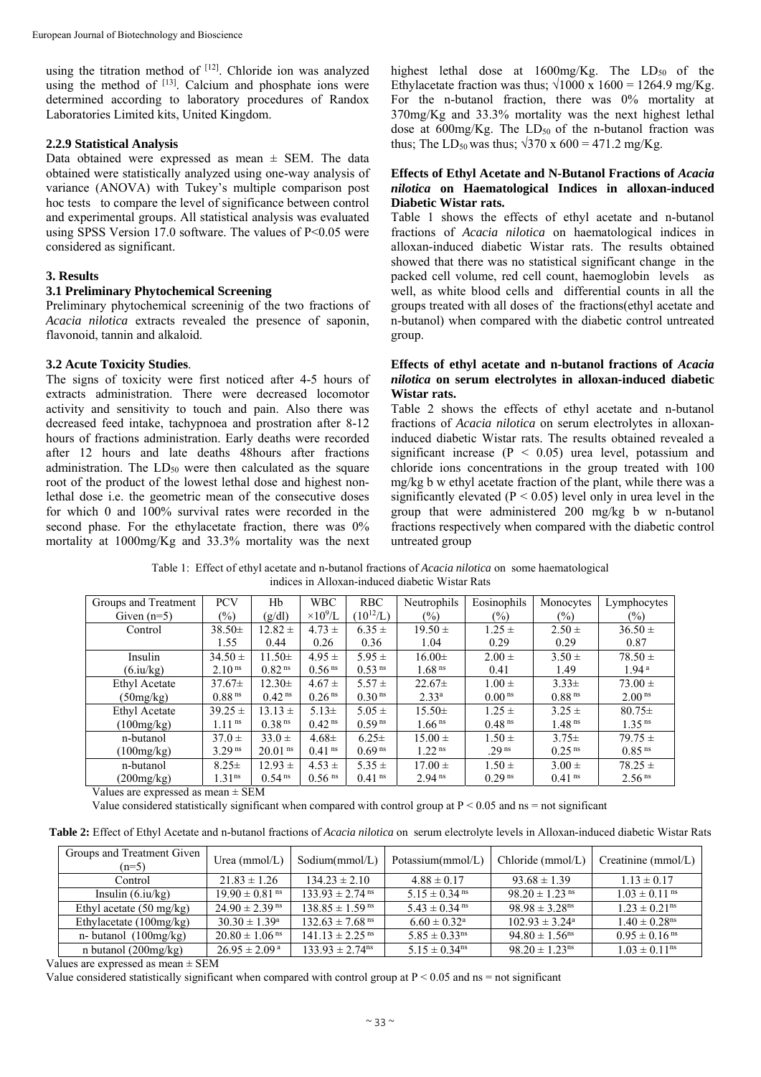using the titration method of  $[12]$ . Chloride ion was analyzed using the method of  $[13]$ . Calcium and phosphate ions were determined according to laboratory procedures of Randox Laboratories Limited kits, United Kingdom.

#### **2.2.9 Statistical Analysis**

Data obtained were expressed as mean  $\pm$  SEM. The data obtained were statistically analyzed using one-way analysis of variance (ANOVA) with Tukey's multiple comparison post hoc tests to compare the level of significance between control and experimental groups. All statistical analysis was evaluated using SPSS Version 17.0 software. The values of P<0.05 were considered as significant.

## **3. Results**

#### **3.1 Preliminary Phytochemical Screening**

Preliminary phytochemical screeninig of the two fractions of *Acacia nilotica* extracts revealed the presence of saponin, flavonoid, tannin and alkaloid.

#### **3.2 Acute Toxicity Studies**.

The signs of toxicity were first noticed after 4-5 hours of extracts administration. There were decreased locomotor activity and sensitivity to touch and pain. Also there was decreased feed intake, tachypnoea and prostration after 8-12 hours of fractions administration. Early deaths were recorded after 12 hours and late deaths 48hours after fractions administration. The  $LD_{50}$  were then calculated as the square root of the product of the lowest lethal dose and highest nonlethal dose i.e. the geometric mean of the consecutive doses for which 0 and 100% survival rates were recorded in the second phase. For the ethylacetate fraction, there was  $0\%$ mortality at 1000mg/Kg and 33.3% mortality was the next highest lethal dose at  $1600$ mg/Kg. The  $LD_{50}$  of the Ethylacetate fraction was thus;  $\sqrt{1000 \times 1600} = 1264.9$  mg/Kg. For the n-butanol fraction, there was 0% mortality at 370mg/Kg and 33.3% mortality was the next highest lethal dose at  $600$ mg/Kg. The  $LD_{50}$  of the n-butanol fraction was thus; The LD<sub>50</sub> was thus;  $\sqrt{370 \times 600} = 471.2 \text{ mg/Kg}$ .

### **Effects of Ethyl Acetate and N-Butanol Fractions of** *Acacia nilotica* **on Haematological Indices in alloxan-induced Diabetic Wistar rats.**

Table 1 shows the effects of ethyl acetate and n-butanol fractions of *Acacia nilotica* on haematological indices in alloxan-induced diabetic Wistar rats. The results obtained showed that there was no statistical significant change in the packed cell volume, red cell count, haemoglobin levels as well, as white blood cells and differential counts in all the groups treated with all doses of the fractions(ethyl acetate and n-butanol) when compared with the diabetic control untreated group.

### **Effects of ethyl acetate and n-butanol fractions of** *Acacia nilotica* **on serum electrolytes in alloxan-induced diabetic Wistar rats.**

Table 2 shows the effects of ethyl acetate and n-butanol fractions of *Acacia nilotica* on serum electrolytes in alloxaninduced diabetic Wistar rats. The results obtained revealed a significant increase ( $P < 0.05$ ) urea level, potassium and chloride ions concentrations in the group treated with 100 mg/kg b w ethyl acetate fraction of the plant, while there was a significantly elevated ( $P < 0.05$ ) level only in urea level in the group that were administered 200 mg/kg b w n-butanol fractions respectively when compared with the diabetic control untreated group

Table 1: Effect of ethyl acetate and n-butanol fractions of *Acacia nilotica* on some haematological indices in Alloxan-induced diabetic Wistar Rats

| Groups and Treatment | <b>PCV</b>           | Hb                   | WBC                  | <b>RBC</b>           | Neutrophils          | Eosinophils          | Monocytes            | Lymphocytes          |
|----------------------|----------------------|----------------------|----------------------|----------------------|----------------------|----------------------|----------------------|----------------------|
| Given $(n=5)$        | $(\%)$               | (g/dl)               | $\times 10^9$ /L     | $(10^{12}/L)$        | $(\%)$               | $(\%)$               | $(\%)$               | $(\%)$               |
| Control              | $38.50 \pm$          | $12.82 \pm$          | $4.73 \pm$           | $6.35 \pm$           | $19.50 \pm$          | $1.25 \pm$           | $2.50 \pm$           | $36.50 \pm$          |
|                      | 1.55                 | 0.44                 | 0.26                 | 0.36                 | 1.04                 | 0.29                 | 0.29                 | 0.87                 |
| Insulin              | $34.50 \pm$          | $11.50 \pm$          | $4.95 \pm$           | $5.95 \pm$           | $16.00 \pm$          | $2.00 \pm$           | $3.50 \pm$           | $78.50 \pm$          |
| (6.iu/kg)            | 2.10 <sup>ns</sup>   | 0.82 <sup>ns</sup>   | 0.56 <sup>ns</sup>   | 0.53 <sup>ns</sup>   | 1.68 <sup>ns</sup>   | 0.41                 | 1.49                 | 1.94 <sup>a</sup>    |
| Ethyl Acetate        | $37.67 \pm$          | $12.30+$             | $4.67 \pm$           | $5.57 \pm$           | $22.67+$             | $1.00 \pm$           | $3.33 \pm$           | $73.00 \pm$          |
| (50mg/kg)            | 0.88 <sup>ns</sup>   | $0.42$ <sup>ns</sup> | 0.26 <sup>ns</sup>   | 0.30 <sup>ns</sup>   | 2.33 <sup>a</sup>    | $0.00$ <sup>ns</sup> | 0.88 <sup>ns</sup>   | 2.00 <sup>ns</sup>   |
| <b>Ethyl Acetate</b> | $39.25 \pm$          | $13.13 \pm$          | $5.13+$              | $5.05 \pm$           | $15.50 \pm$          | $1.25 \pm$           | $3.25 \pm$           | $80.75\pm$           |
| (100mg/kg)           | $1.11$ <sup>ns</sup> | $0.38$ <sup>ns</sup> | $0.42$ <sup>ns</sup> | $0.59$ <sup>ns</sup> | 1.66 <sup>ns</sup>   | 0.48 <sup>ns</sup>   | 1.48 <sup>ns</sup>   | $1.35$ <sup>ns</sup> |
| n-butanol            | $37.0 \pm$           | $33.0 \pm$           | $4.68 \pm$           | $6.25 \pm$           | $15.00 \pm$          | $1.50 \pm$           | $3.75 \pm$           | $79.75 \pm$          |
| (100mg/kg)           | 3.29 <sup>ns</sup>   | 20.01 <sup>ns</sup>  | $0.41$ <sup>ns</sup> | 0.69 <sup>ns</sup>   | 1.22 <sup>ns</sup>   | .29 <sup>ns</sup>    | 0.25 <sup>ns</sup>   | 0.85 <sup>ns</sup>   |
| n-butanol            | $8.25 \pm$           | $12.93 \pm$          | $4.53 \pm$           | $5.35 \pm$           | $17.00 \pm$          | $1.50 \pm$           | $3.00 \pm$           | $78.25 \pm$          |
| (200mg/kg)           | 1.31 <sup>ns</sup>   | $0.54$ <sup>ns</sup> | $0.56$ <sup>ns</sup> | $0.41$ <sup>ns</sup> | $2.94$ <sup>ns</sup> | $0.29$ <sup>ns</sup> | $0.41$ <sup>ns</sup> | 2.56 <sup>ns</sup>   |

Values are expressed as mean ± SEM

Value considered statistically significant when compared with control group at  $P < 0.05$  and ns = not significant

**Table 2:** Effect of Ethyl Acetate and n-butanol fractions of *Acacia nilotica* on serum electrolyte levels in Alloxan-induced diabetic Wistar Rats

| Groups and Treatment Given<br>$(n=5)$ | Urea ( $mmol/L$ )              | Sodium(mmol/L)                  | Potassium( $mmol/L$ )         |                                | Chloride (mmol/L) $\vert$ Creatinine (mmol/L) |
|---------------------------------------|--------------------------------|---------------------------------|-------------------------------|--------------------------------|-----------------------------------------------|
| Control                               | $21.83 \pm 1.26$               | $134.23 \pm 2.10$               | $4.88 \pm 0.17$               | $93.68 \pm 1.39$               | $1.13 \pm 0.17$                               |
| Insulin $(6.iu/kg)$                   | $19.90 \pm 0.81$ <sup>ns</sup> | $133.93 \pm 2.74$ <sup>ns</sup> | $5.15 \pm 0.34$ <sup>ns</sup> | $98.20 \pm 1.23$ <sup>ns</sup> | $1.03 \pm 0.11$ <sup>ns</sup>                 |
| Ethyl acetate $(50 \text{ mg/kg})$    | $24.90 \pm 2.39$ <sup>ns</sup> | $138.85 \pm 1.59$ <sup>ns</sup> | $5.43 \pm 0.34$ <sup>ns</sup> | $98.98 \pm 3.28$ <sup>ns</sup> | $1.23 \pm 0.21$ <sup>ns</sup>                 |
| Ethylacetate $(100mg/kg)$             | $30.30 \pm 1.39^{\circ}$       | $132.63 \pm 7.68$ <sup>ns</sup> | $6.60 \pm 0.32$ <sup>a</sup>  | $102.93 \pm 3.24^{\circ}$      | $1.40 \pm 0.28$ <sup>ns</sup>                 |
| n- butanol $(100mg/kg)$               | $20.80 \pm 1.06$ <sup>ns</sup> | $141.13 \pm 2.25$ <sup>ns</sup> | $5.85 \pm 0.33$ <sup>ns</sup> | $94.80 \pm 1.56$ <sup>ns</sup> | $0.95 \pm 0.16$ <sup>ns</sup>                 |
| n butanol $(200mg/kg)$                | $26.95 \pm 2.09^{\text{ a}}$   | $133.93 \pm 2.74$ <sup>ns</sup> | $5.15 \pm 0.34$ <sup>ns</sup> | $98.20 \pm 1.23$ <sup>ns</sup> | $1.03 \pm 0.11$ <sup>ns</sup>                 |

Values are expressed as mean ± SEM

Value considered statistically significant when compared with control group at  $P < 0.05$  and ns = not significant